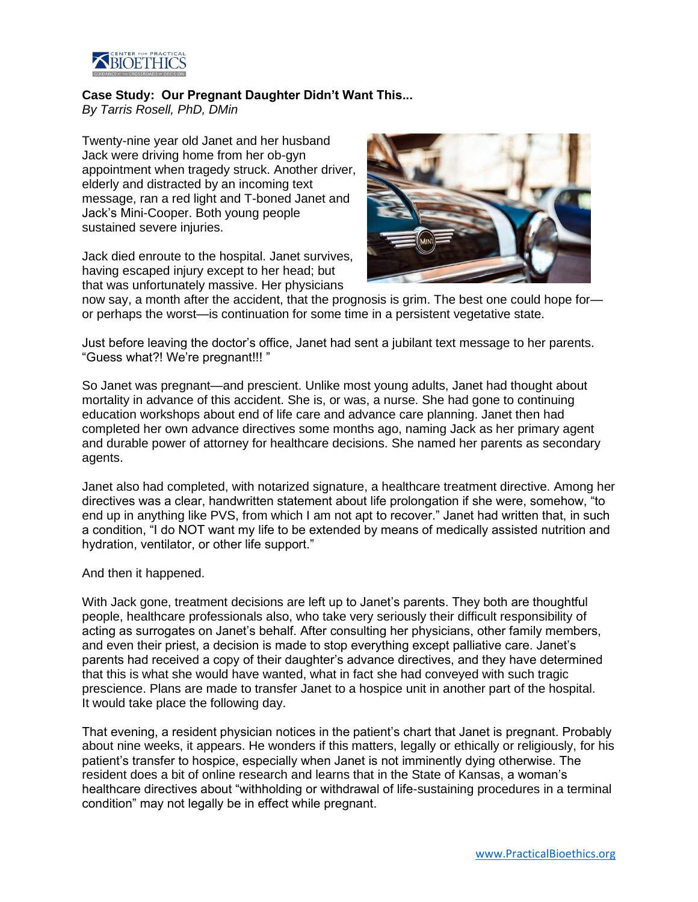

## **Case Study: Our Pregnant Daughter Didn't Want This...**

*By Tarris Rosell, PhD, DMin*

Twenty-nine year old Janet and her husband Jack were driving home from her ob-gyn appointment when tragedy struck. Another driver, elderly and distracted by an incoming text message, ran a red light and T-boned Janet and Jack's Mini-Cooper. Both young people sustained severe injuries.

Jack died enroute to the hospital. Janet survives, having escaped injury except to her head; but that was unfortunately massive. Her physicians



now say, a month after the accident, that the prognosis is grim. The best one could hope for or perhaps the worst—is continuation for some time in a persistent vegetative state.

Just before leaving the doctor's office, Janet had sent a jubilant text message to her parents. "Guess what?! We're pregnant!!! "

So Janet was pregnant—and prescient. Unlike most young adults, Janet had thought about mortality in advance of this accident. She is, or was, a nurse. She had gone to continuing education workshops about end of life care and advance care planning. Janet then had completed her own advance directives some months ago, naming Jack as her primary agent and durable power of attorney for healthcare decisions. She named her parents as secondary agents.

Janet also had completed, with notarized signature, a healthcare treatment directive. Among her directives was a clear, handwritten statement about life prolongation if she were, somehow, "to end up in anything like PVS, from which I am not apt to recover." Janet had written that, in such a condition, "I do NOT want my life to be extended by means of medically assisted nutrition and hydration, ventilator, or other life support."

And then it happened.

With Jack gone, treatment decisions are left up to Janet's parents. They both are thoughtful people, healthcare professionals also, who take very seriously their difficult responsibility of acting as surrogates on Janet's behalf. After consulting her physicians, other family members, and even their priest, a decision is made to stop everything except palliative care. Janet's parents had received a copy of their daughter's advance directives, and they have determined that this is what she would have wanted, what in fact she had conveyed with such tragic prescience. Plans are made to transfer Janet to a hospice unit in another part of the hospital. It would take place the following day.

That evening, a resident physician notices in the patient's chart that Janet is pregnant. Probably about nine weeks, it appears. He wonders if this matters, legally or ethically or religiously, for his patient's transfer to hospice, especially when Janet is not imminently dying otherwise. The resident does a bit of online research and learns that in the State of Kansas, a woman's healthcare directives about "withholding or withdrawal of life-sustaining procedures in a terminal condition" may not legally be in effect while pregnant.